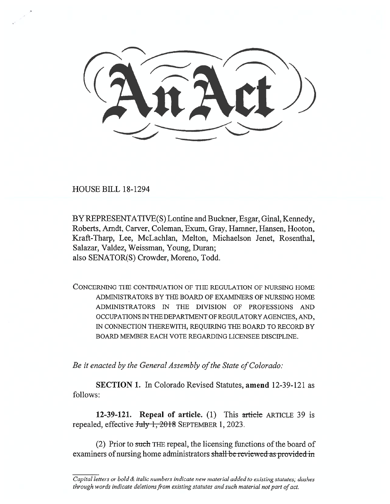HOUSE BILL 18-1294

BY REPRESENTATIVE(S) Lontine and Buckner, Esgar, Ginal, Kennedy, Roberts, Arndt, Carver, Coleman, Exum, Gray, Hamner, Hansen, Hooton, Kraft-Tharp, Lee, McLachlan, Melton, Michaelson Jenet, Rosenthal, Salazar, Valdez, Weissman, Young, Duran; also SENATOR(S) Crowder, Moreno, Todd.

CONCERNING THE CONTINUATION OF THE REGULATION OF NURSING HOME ADMINISTRATORS BY THE BOARD OF EXAMINERS OF NURSING HOME ADMINISTRATORS IN THE DIVISION OF PROFESSIONS AND OCCUPATIONS IN THE DEPARTMENT OF REGULATORY AGENCIES, AND, IN CONNECTION THEREWITH, REQUIRING THE BOARD TO RECORD BY BOARD MEMBER EACH VOTE REGARDING LICENSEE DISCIPLINE.

*Be it enacted by the General Assembly of the State of Colorado:* 

**SECTION 1.** In Colorado Revised Statutes, **amend** 12-39-121 as follows:

**12-39-121. Repeal of article.** (1) This article ARTICLE 39 is repealed, effective July 1, 2018 SEPTEMBER 1, 2023.

(2) Prior to such THE repeal, the licensing functions of the board of examiners of nursing home administrators shall be reviewed as provided in

*Capital letters or bold & italic numbers indicate new material added to existing statutes; dashes through words indicate deletions from existing statutes and such material not part of act.*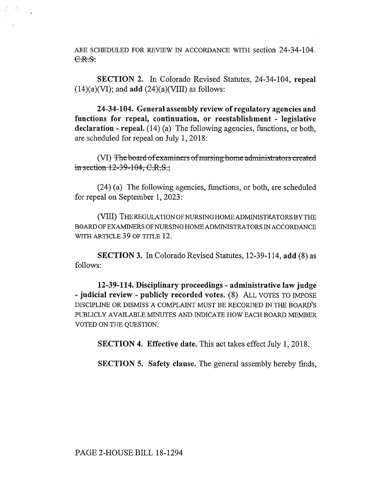ARE SCHEDULED FOR REVIEW IN ACCORDANCE WITH section 24-34-104.  $C.R.S.$ 

**SECTION 2.** In Colorado Revised Statutes, 24-34-104, **repeal**  (14)(a)(VI); and **add** (24)(a)(VIII) as follows:

**24-34-104. General assembly review of regulatory agencies and functions for repeal, continuation, or reestablishment - legislative declaration - repeal.** (14) (a) The following agencies, functions, or both, are scheduled for repeal on July 1, 2018:

(VI) The board of examiners of nursing home administrators created in section  $12-39-104$ , C.R.S.;

(24) (a) The following agencies, functions, or both, are scheduled for repeal on September 1, 2023:

(VIII) THE REGULATION OF NURSING HOME ADMINISTRATORS BY THE BOARD OF EXAMINERS OF NURSING HOME ADMINISTRATORS IN ACCORDANCE WITH ARTICLE 39 OF TITLE 12.

**SECTION 3.** In Colorado Revised Statutes, 12-39-114, **add** (8) as follows:

**12-39-114. Disciplinary proceedings - administrative law judge - judicial review - publicly recorded votes.** (8) ALL VOTES TO IMPOSE DISCIPLINE OR DISMISS A COMPLAINT MUST BE RECORDED IN THE BOARD'S PUBLICLY AVAILABLE MINUTES AND INDICATE HOW EACH BOARD MEMBER VOTED ON THE QUESTION.

**SECTION 4. Effective date.** This act takes effect July 1, 2018.

**SECTION 5. Safety clause.** The general assembly hereby finds,